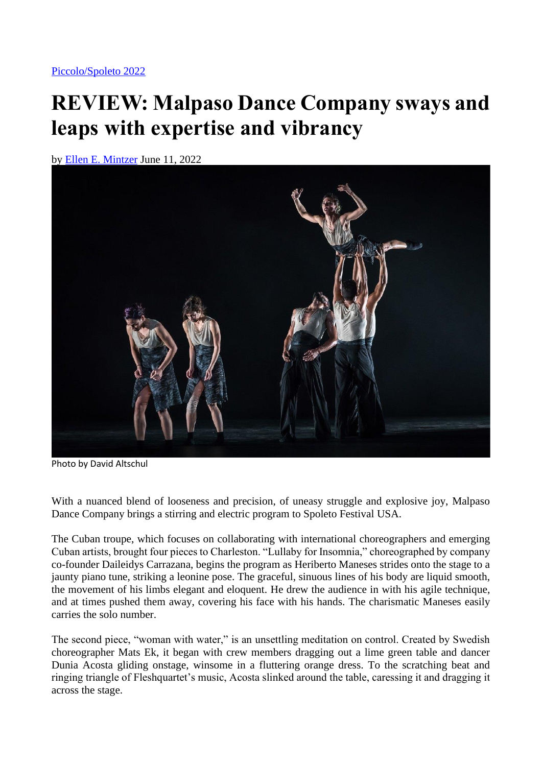## **REVIEW: Malpaso Dance Company sways and leaps with expertise and vibrancy**

by [Ellen E. Mintzer](https://charlestoncitypaper.com/author/ellen-e-mintzer/) June 11, 2022



Photo by David Altschul

With a nuanced blend of looseness and precision, of uneasy struggle and explosive joy, Malpaso Dance Company brings a stirring and electric program to Spoleto Festival USA.

The Cuban troupe, which focuses on collaborating with international choreographers and emerging Cuban artists, brought four pieces to Charleston. "Lullaby for Insomnia," choreographed by company co-founder Daileidys Carrazana, begins the program as Heriberto Maneses strides onto the stage to a jaunty piano tune, striking a leonine pose. The graceful, sinuous lines of his body are liquid smooth, the movement of his limbs elegant and eloquent. He drew the audience in with his agile technique, and at times pushed them away, covering his face with his hands. The charismatic Maneses easily carries the solo number.

The second piece, "woman with water," is an unsettling meditation on control. Created by Swedish choreographer Mats Ek, it began with crew members dragging out a lime green table and dancer Dunia Acosta gliding onstage, winsome in a fluttering orange dress. To the scratching beat and ringing triangle of Fleshquartet's music, Acosta slinked around the table, caressing it and dragging it across the stage.